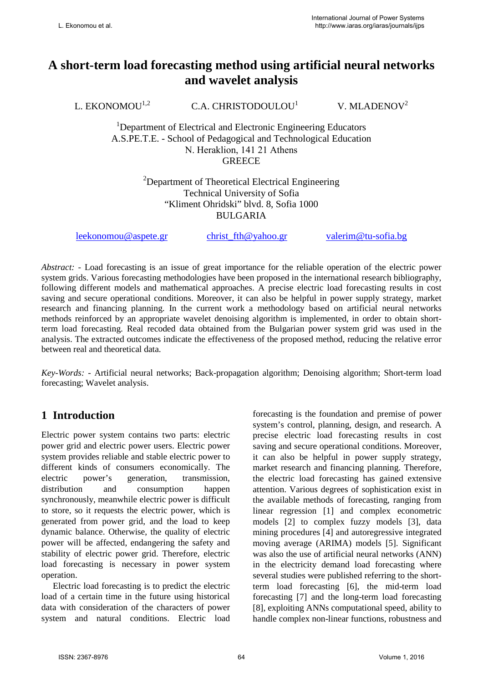# **A short-term load forecasting method using artificial neural networks and wavelet analysis**

L. EKONOMOU<sup>1,2</sup> C.A. CHRISTODOULOU<sup>1</sup>

V. MLADENOV<sup>2</sup>

<sup>1</sup>Department of Electrical and Electronic Engineering Educators A.S.PE.T.E. - School of Pedagogical and Technological Education Ν. Ηeraklion, 141 21 Athens **GREECE** 

> <sup>2</sup>Department of Theoretical Electrical Engineering Technical University of Sofia "Kliment Ohridski" blvd. 8, Sofia 1000 BULGARIA

[leekonomou@aspete.gr](mailto:leekonomou@aspete.gr) [christ\\_fth@yahoo.gr](mailto:christ_fth@yahoo.gr) [valerim@tu-sofia.bg](mailto:valerim@tu-sofia.bg)

*Abstract: -* Load forecasting is an issue of great importance for the reliable operation of the electric power system grids. Various forecasting methodologies have been proposed in the international research bibliography, following different models and mathematical approaches. A precise electric load forecasting results in cost saving and secure operational conditions. Moreover, it can also be helpful in power supply strategy, market research and financing planning. In the current work a methodology based on artificial neural networks methods reinforced by an appropriate wavelet denoising algorithm is implemented, in order to obtain shortterm load forecasting. Real recoded data obtained from the Bulgarian power system grid was used in the analysis. The extracted outcomes indicate the effectiveness of the proposed method, reducing the relative error between real and theoretical data.

*Key-Words: -* Artificial neural networks; Back-propagation algorithm; Denoising algorithm; Short-term load forecasting; Wavelet analysis.

### **1 Introduction**

Electric power system contains two parts: electric power grid and electric power users. Electric power system provides reliable and stable electric power to different kinds of consumers economically. The electric power's generation, transmission, distribution and consumption happen synchronously, meanwhile electric power is difficult to store, so it requests the electric power, which is generated from power grid, and the load to keep dynamic balance. Otherwise, the quality of electric power will be affected, endangering the safety and stability of electric power grid. Therefore, electric load forecasting is necessary in power system operation.

Electric load forecasting is to predict the electric load of a certain time in the future using historical data with consideration of the characters of power system and natural conditions. Electric load forecasting is the foundation and premise of power system's control, planning, design, and research. A precise electric load forecasting results in cost saving and secure operational conditions. Moreover, it can also be helpful in power supply strategy, market research and financing planning. Therefore, the electric load forecasting has gained extensive attention. Various degrees of sophistication exist in the available methods of forecasting, ranging from linear regression [1] and complex econometric models [2] to complex fuzzy models [3], data mining procedures [4] and autoregressive integrated moving average (ARIMA) models [5]. Significant was also the use of artificial neural networks (ANN) in the electricity demand load forecasting where several studies were published referring to the shortterm load forecasting [6], the mid-term load forecasting [7] and the long-term load forecasting [8], exploiting ANNs computational speed, ability to handle complex non-linear functions, robustness and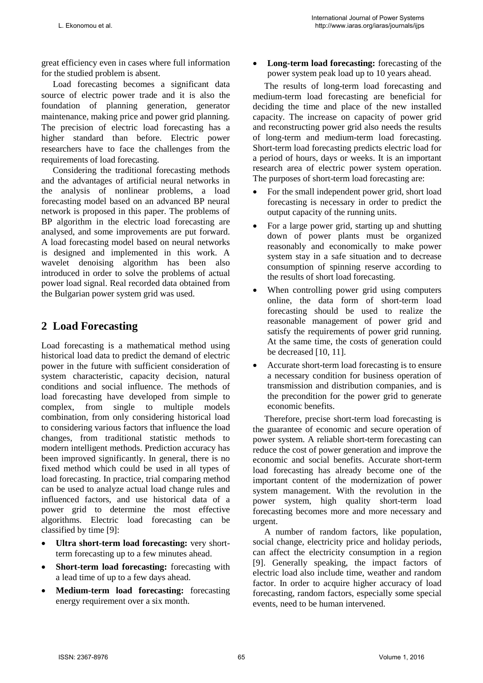great efficiency even in cases where full information for the studied problem is absent.

Load forecasting becomes a significant data source of electric power trade and it is also the foundation of planning generation, generator maintenance, making price and power grid planning. The precision of electric load forecasting has a higher standard than before. Electric power researchers have to face the challenges from the requirements of load forecasting.

Considering the traditional forecasting methods and the advantages of artificial neural networks in the analysis of nonlinear problems, a load forecasting model based on an advanced BP neural network is proposed in this paper. The problems of BP algorithm in the electric load forecasting are analysed, and some improvements are put forward. A load forecasting model based on neural networks is designed and implemented in this work. A wavelet denoising algorithm has been also introduced in order to solve the problems of actual power load signal. Real recorded data obtained from the Bulgarian power system grid was used.

### **2 Load Forecasting**

Load forecasting is a mathematical method using historical load data to predict the demand of electric power in the future with sufficient consideration of system characteristic, capacity decision, natural conditions and social influence. The methods of load forecasting have developed from simple to complex, from single to multiple models combination, from only considering historical load to considering various factors that influence the load changes, from traditional statistic methods to modern intelligent methods. Prediction accuracy has been improved significantly. In general, there is no fixed method which could be used in all types of load forecasting. In practice, trial comparing method can be used to analyze actual load change rules and influenced factors, and use historical data of a power grid to determine the most effective algorithms. Electric load forecasting can be classified by time [9]:

- **Ultra short-term load forecasting:** very shortterm forecasting up to a few minutes ahead.
- **Short-term load forecasting:** forecasting with a lead time of up to a few days ahead.
- **Medium-term load forecasting:** forecasting energy requirement over a six month.

• **Long-term load forecasting:** forecasting of the power system peak load up to 10 years ahead.

The results of long-term load forecasting and medium-term load forecasting are beneficial for deciding the time and place of the new installed capacity. The increase on capacity of power grid and reconstructing power grid also needs the results of long-term and medium-term load forecasting. Short-term load forecasting predicts electric load for a period of hours, days or weeks. It is an important research area of electric power system operation. The purposes of short-term load forecasting are:

- For the small independent power grid, short load forecasting is necessary in order to predict the output capacity of the running units.
- For a large power grid, starting up and shutting down of power plants must be organized reasonably and economically to make power system stay in a safe situation and to decrease consumption of spinning reserve according to the results of short load forecasting.
- When controlling power grid using computers online, the data form of short-term load forecasting should be used to realize the reasonable management of power grid and satisfy the requirements of power grid running. At the same time, the costs of generation could be decreased [10, 11].
- Accurate short-term load forecasting is to ensure a necessary condition for business operation of transmission and distribution companies, and is the precondition for the power grid to generate economic benefits.

Therefore, precise short-term load forecasting is the guarantee of economic and secure operation of power system. A reliable short-term forecasting can reduce the cost of power generation and improve the economic and social benefits. Accurate short-term load forecasting has already become one of the important content of the modernization of power system management. With the revolution in the power system, high quality short-term load forecasting becomes more and more necessary and urgent.

A number of random factors, like population, social change, electricity price and holiday periods, can affect the electricity consumption in a region [9]. Generally speaking, the impact factors of electric load also include time, weather and random factor. In order to acquire higher accuracy of load forecasting, random factors, especially some special events, need to be human intervened.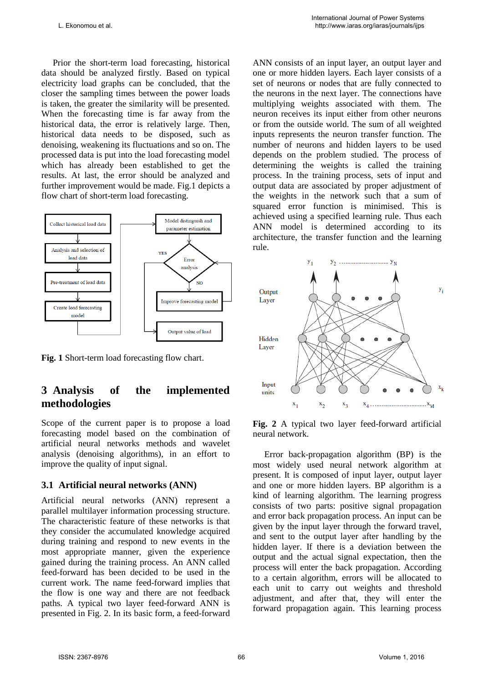Prior the short-term load forecasting, historical data should be analyzed firstly. Based on typical electricity load graphs can be concluded, that the closer the sampling times between the power loads is taken, the greater the similarity will be presented. When the forecasting time is far away from the historical data, the error is relatively large. Then, historical data needs to be disposed, such as denoising, weakening its fluctuations and so on. The processed data is put into the load forecasting model which has already been established to get the results. At last, the error should be analyzed and further improvement would be made. Fig.1 depicts a flow chart of short-term load forecasting.



**Fig. 1** Short-term load forecasting flow chart.

### **3 Analysis of the implemented methodologies**

Scope of the current paper is to propose a load forecasting model based on the combination of artificial neural networks methods and wavelet analysis (denoising algorithms), in an effort to improve the quality of input signal.

#### **3.1 Artificial neural networks (ANN)**

Artificial neural networks (ANN) represent a parallel multilayer information processing structure. The characteristic feature of these networks is that they consider the accumulated knowledge acquired during training and respond to new events in the most appropriate manner, given the experience gained during the training process. An ANN called feed-forward has been decided to be used in the current work. The name feed-forward implies that the flow is one way and there are not feedback paths. A typical two layer feed-forward ANN is presented in Fig. 2. In its basic form, a feed-forward ANN consists of an input layer, an output layer and one or more hidden layers. Each layer consists of a set of neurons or nodes that are fully connected to the neurons in the next layer. The connections have multiplying weights associated with them. The neuron receives its input either from other neurons or from the outside world. The sum of all weighted inputs represents the neuron transfer function. The number of neurons and hidden layers to be used depends on the problem studied. The process of determining the weights is called the training process. In the training process, sets of input and output data are associated by proper adjustment of the weights in the network such that a sum of squared error function is minimised. This is achieved using a specified learning rule. Thus each ANN model is determined according to its architecture, the transfer function and the learning rule.



**Fig. 2** A typical two layer feed-forward artificial neural network.

Error back-propagation algorithm (BP) is the most widely used neural network algorithm at present. It is composed of input layer, output layer and one or more hidden layers. BP algorithm is a kind of learning algorithm. The learning progress consists of two parts: positive signal propagation and error back propagation process. An input can be given by the input layer through the forward travel, and sent to the output layer after handling by the hidden layer. If there is a deviation between the output and the actual signal expectation, then the process will enter the back propagation. According to a certain algorithm, errors will be allocated to each unit to carry out weights and threshold adjustment, and after that, they will enter the forward propagation again. This learning process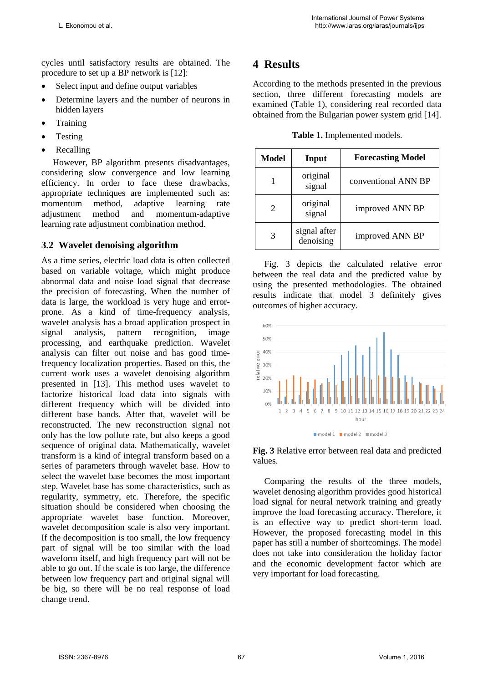cycles until satisfactory results are obtained. The procedure to set up a BP network is [12]:

- Select input and define output variables
- Determine layers and the number of neurons in hidden layers
- **Training**
- **Testing**
- Recalling

However, BP algorithm presents disadvantages, considering slow convergence and low learning efficiency. In order to face these drawbacks, appropriate techniques are implemented such as: momentum method, adaptive learning rate adjustment method and momentum-adaptive learning rate adjustment combination method.

#### **3.2 Wavelet denoising algorithm**

As a time series, electric load data is often collected based on variable voltage, which might produce abnormal data and noise load signal that decrease the precision of forecasting. When the number of data is large, the workload is very huge and errorprone. As a kind of time-frequency analysis, wavelet analysis has a broad application prospect in signal analysis, pattern recognition, image processing, and earthquake prediction. Wavelet analysis can filter out noise and has good timefrequency localization properties. Based on this, the current work uses a wavelet denoising algorithm presented in [13]. This method uses wavelet to factorize historical load data into signals with different frequency which will be divided into different base bands. After that, wavelet will be reconstructed. The new reconstruction signal not only has the low pollute rate, but also keeps a good sequence of original data. Mathematically, wavelet transform is a kind of integral transform based on a series of parameters through wavelet base. How to select the wavelet base becomes the most important step. Wavelet base has some characteristics, such as regularity, symmetry, etc. Therefore, the specific situation should be considered when choosing the appropriate wavelet base function. Moreover, wavelet decomposition scale is also very important. If the decomposition is too small, the low frequency part of signal will be too similar with the load waveform itself, and high frequency part will not be able to go out. If the scale is too large, the difference between low frequency part and original signal will be big, so there will be no real response of load change trend.

### **4 Results**

According to the methods presented in the previous section, three different forecasting models are examined (Table 1), considering real recorded data obtained from the Bulgarian power system grid [14].

**Table 1.** Implemented models.

| Model | Input                     | <b>Forecasting Model</b> |
|-------|---------------------------|--------------------------|
|       | original<br>signal        | conventional ANN BP      |
| 2     | original<br>signal        | improved ANN BP          |
| 3     | signal after<br>denoising | improved ANN BP          |

Fig. 3 depicts the calculated relative error between the real data and the predicted value by using the presented methodologies. The obtained results indicate that model 3 definitely gives outcomes of higher accuracy.





Comparing the results of the three models, wavelet denosing algorithm provides good historical load signal for neural network training and greatly improve the load forecasting accuracy. Therefore, it is an effective way to predict short-term load. However, the proposed forecasting model in this paper has still a number of shortcomings. The model does not take into consideration the holiday factor and the economic development factor which are very important for load forecasting.